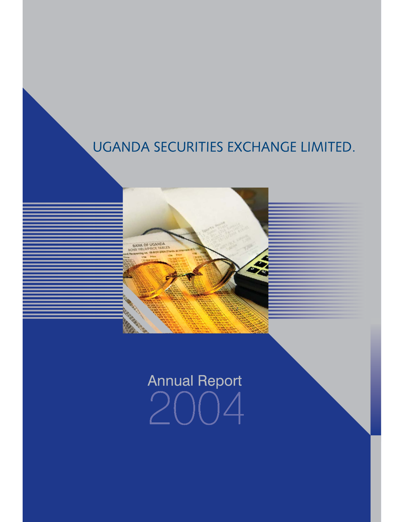# UGANDA SECURITIES EXCHANGE LIMITED.



# **Annual Report**  $\mathcal{D}$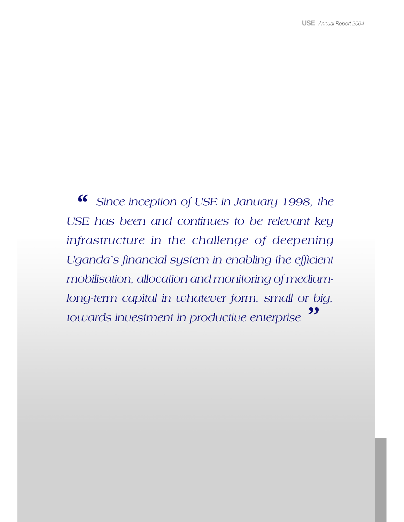*Since inception of USE in January 1998, the USE has been and continues to be relevant key infrastructure in the challenge of deepening Uganda's financial system in enabling the efficient mobilisation, allocation and monitoring of mediumlong-term capital in whatever form, small or big, towards investment in productive enterprise " ''*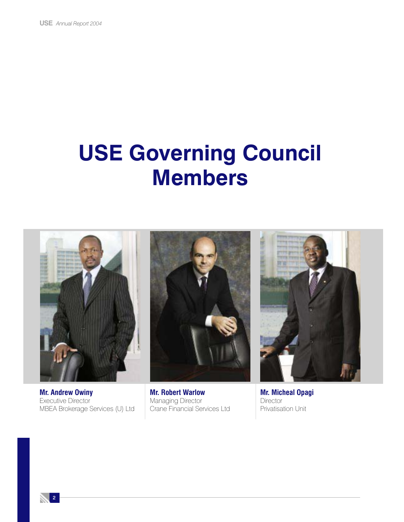# **USE Governing Council Members**



**Mr. Andrew Owiny** Executive Director MBEA Brokerage Services (U) Ltd

**Mr. Robert Warlow** Managing Director Crane Financial Services Ltd

**Mr. Micheal Opagi Director** Privatisation Unit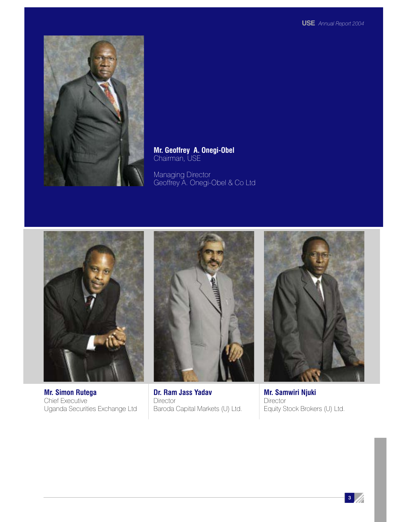

**Mr. Geoffrey A. Onegi-Obel** Chairman, USE

Managing Director Geoffrey A. Onegi-Obel & Co Ltd



**Mr. Simon Rutega** Chief Executive Uganda Securities Exchange Ltd



**Dr. Ram Jass Yadav Director** Baroda Capital Markets (U) Ltd.



**Mr. Samwiri Njuki Director** Equity Stock Brokers (U) Ltd.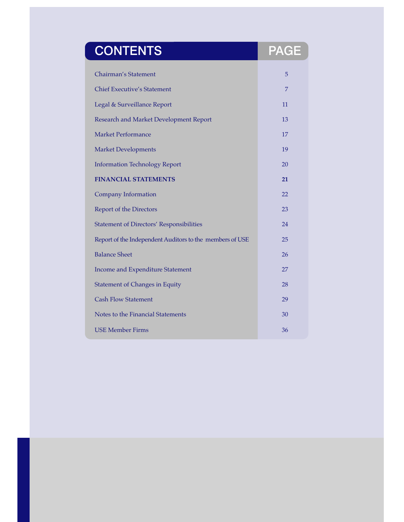| <b>CONTENTS</b>                                          | <b>PAGE</b> |
|----------------------------------------------------------|-------------|
| Chairman's Statement                                     | 5           |
| <b>Chief Executive's Statement</b>                       | 7           |
| Legal & Surveillance Report                              | 11          |
| Research and Market Development Report                   | 13          |
| <b>Market Performance</b>                                | 17          |
| <b>Market Developments</b>                               | 19          |
| <b>Information Technology Report</b>                     | 20          |
| <b>FINANCIAL STATEMENTS</b>                              | 21          |
| <b>Company Information</b>                               | 22          |
| Report of the Directors                                  | 23          |
| <b>Statement of Directors' Responsibilities</b>          | 24          |
| Report of the Independent Auditors to the members of USE | 25          |
| <b>Balance Sheet</b>                                     | 26          |
| Income and Expenditure Statement                         | 27          |
| <b>Statement of Changes in Equity</b>                    | 28          |
| <b>Cash Flow Statement</b>                               | 29          |
| Notes to the Financial Statements                        | 30          |
| <b>USE Member Firms</b>                                  | 36          |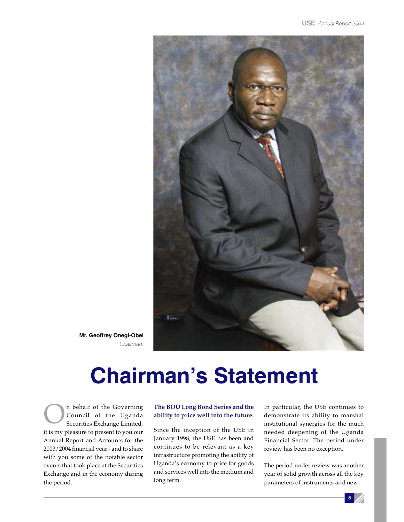

**Mr. Geoffrey Onegi-Obel** *Chairman.*

# **Chairman's Statement**

**ORIGINAL SECURITE:** The Governing Council of the Uganda<br>
Securities Exchange Limited, Council of the Uganda it is my pleasure to present to you our Annual Report and Accounts for the 2003/2004 financial year - and to share with you some of the notable sector events that took place at the Securities Exchange and in the economy during the period.

### **The BOU Long Bond Series and the ability to price well into the future.**

Since the inception of the USE in January 1998, the USE has been and continues to be relevant as a key infrastructure promoting the ability of Uganda's economy to price for goods and services well into the medium and long term.

In particular, the USE continues to demonstrate its ability to marshal institutional synergies for the much needed deepening of the Uganda Financial Sector. The period under review has been no exception.

The period under review was another year of solid growth across all the key parameters of instruments and new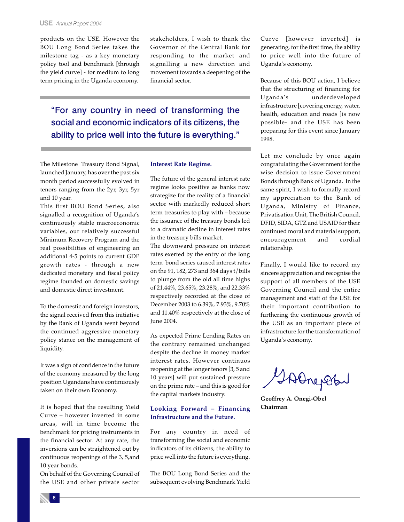products on the USE. However the BOU Long Bond Series takes the milestone tag - as a key monetary policy tool and benchmark [through the yield curve] - for medium to long term pricing in the Uganda economy.

stakeholders, I wish to thank the Governor of the Central Bank for responding to the market and signalling a new direction and movement towards a deepening of the financial sector.

"For any country in need of transforming the social and economic indicators of its citizens, the ability to price well into the future is everything."

The Milestone Treasury Bond Signal, launched January, has over the past six month period successfully evolved in tenors ranging from the 2yr, 3yr, 5yr and 10 year.

This first BOU Bond Series, also signalled a recognition of Uganda's continuously stable macroeconomic variables, our relatively successful Minimum Recovery Program and the real possibilities of engineering an additional 4-5 points to current GDP growth rates - through a new dedicated monetary and fiscal policy regime founded on domestic savings and domestic direct investment.

To the domestic and foreign investors, the signal received from this initiative by the Bank of Uganda went beyond the continued aggressive monetary policy stance on the management of liquidity.

It was a sign of confidence in the future of the economy measured by the long position Ugandans have continuously taken on their own Economy.

It is hoped that the resulting Yield Curve – however inverted in some areas, will in time become the benchmark for pricing instruments in the financial sector. At any rate, the inversions can be straightened out by continuous reopenings of the 3, 5,and 10 year bonds.

On behalf of the Governing Council of the USE and other private sector

### **Interest Rate Regime.**

The future of the general interest rate regime looks positive as banks now strategize for the reality of a financial sector with markedly reduced short term treasuries to play with – because the issuance of the treasury bonds led to a dramatic decline in interest rates in the treasury bills market.

The downward pressure on interest rates exerted by the entry of the long term bond series caused interest rates on the 91, 182, 273 and 364 days t/bills to plunge from the old all time highs of 21.44%, 23.65%, 23.28%, and 22.33% respectively recorded at the close of December 2003 to 6.39%, 7.93%, 9.70% and 11.40% respectively at the close of June 2004.

As expected Prime Lending Rates on the contrary remained unchanged despite the decline in money market interest rates. However continuos reopening at the longer tenors [3, 5 and 10 years] will put sustained pressure on the prime rate – and this is good for the capital markets industry.

### **Looking Forward – Financing Infrastructure and the Future.**

For any country in need of transforming the social and economic indicators of its citizens, the ability to price well into the future is everything.

The BOU Long Bond Series and the subsequent evolving Benchmark Yield

Curve [however inverted] is generating, for the first time, the ability to price well into the future of Uganda's economy.

Because of this BOU action, I believe that the structuring of financing for Uganda's underdeveloped infrastructure [covering energy, water, health, education and roads ]is now possible- and the USE has been preparing for this event since January 1998.

Let me conclude by once again congratulating the Government for the wise decision to issue Government Bonds through Bank of Uganda. In the same spirit, I wish to formally record my appreciation to the Bank of Uganda, Ministry of Finance, Privatisation Unit, The British Council, DFID, SIDA, GTZ and USAID for their continued moral and material support, encouragement and cordial relationship.

Finally, I would like to record my sincere appreciation and recognise the support of all members of the USE Governing Council and the entire management and staff of the USE for their important contribution to furthering the continuous growth of the USE as an important piece of infrastructure for the transformation of Uganda's economy.

GAORENBA

**Geoffrey A. Onegi-Obel Chairman**

6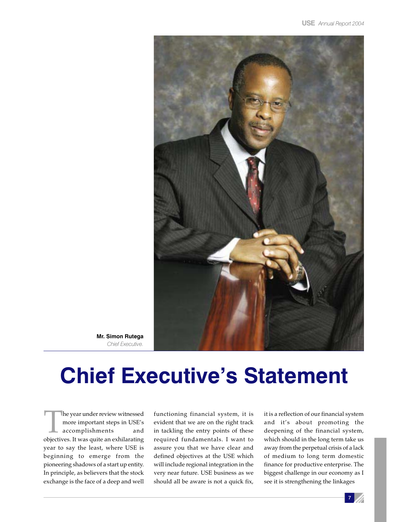

**Mr. Simon Rutega** *Chief Executive.*

# **Chief Executive's Statement**

The year under review witnessed<br>
more important steps in USE's<br>
accomplishments and<br>
objectives. It was quite an exhilarating more important steps in USE's accomplishments and year to say the least, where USE is beginning to emerge from the pioneering shadows of a start up entity. In principle, as believers that the stock exchange is the face of a deep and well

functioning financial system, it is evident that we are on the right track in tackling the entry points of these required fundamentals. I want to assure you that we have clear and defined objectives at the USE which will include regional integration in the very near future. USE business as we should all be aware is not a quick fix,

it is a reflection of our financial system and it's about promoting the deepening of the financial system, which should in the long term take us away from the perpetual crisis of a lack of medium to long term domestic finance for productive enterprise. The biggest challenge in our economy as I see it is strengthening the linkages

 $7$  //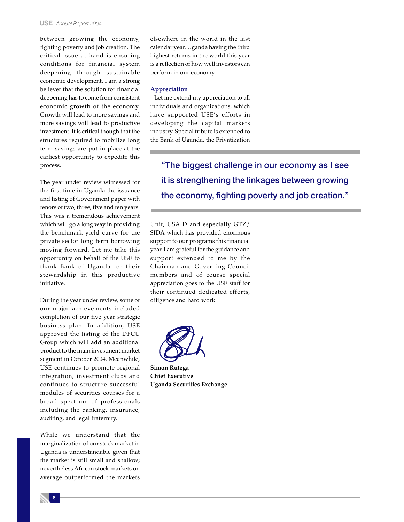#### **USE** *Annual Report 2004*

between growing the economy, fighting poverty and job creation. The critical issue at hand is ensuring conditions for financial system deepening through sustainable economic development. I am a strong believer that the solution for financial deepening has to come from consistent economic growth of the economy. Growth will lead to more savings and more savings will lead to productive investment. It is critical though that the structures required to mobilize long term savings are put in place at the earliest opportunity to expedite this process.

The year under review witnessed for the first time in Uganda the issuance and listing of Government paper with tenors of two, three, five and ten years. This was a tremendous achievement which will go a long way in providing the benchmark yield curve for the private sector long term borrowing moving forward. Let me take this opportunity on behalf of the USE to thank Bank of Uganda for their stewardship in this productive initiative.

During the year under review, some of our major achievements included completion of our five year strategic business plan. In addition, USE approved the listing of the DFCU Group which will add an additional product to the main investment market segment in October 2004. Meanwhile, USE continues to promote regional integration, investment clubs and continues to structure successful modules of securities courses for a broad spectrum of professionals including the banking, insurance, auditing, and legal fraternity.

While we understand that the marginalization of our stock market in Uganda is understandable given that the market is still small and shallow; nevertheless African stock markets on average outperformed the markets

8

elsewhere in the world in the last calendar year. Uganda having the third highest returns in the world this year is a reflection of how well investors can perform in our economy.

#### **Appreciation**

Let me extend my appreciation to all individuals and organizations, which have supported USE's efforts in developing the capital markets industry. Special tribute is extended to the Bank of Uganda, the Privatization

> "The biggest challenge in our economy as I see it is strengthening the linkages between growing the economy, fighting poverty and job creation."

Unit, USAID and especially GTZ/ SIDA which has provided enormous support to our programs this financial year. I am grateful for the guidance and support extended to me by the Chairman and Governing Council members and of course special appreciation goes to the USE staff for their continued dedicated efforts, diligence and hard work.



**Simon Rutega Chief Executive Uganda Securities Exchange**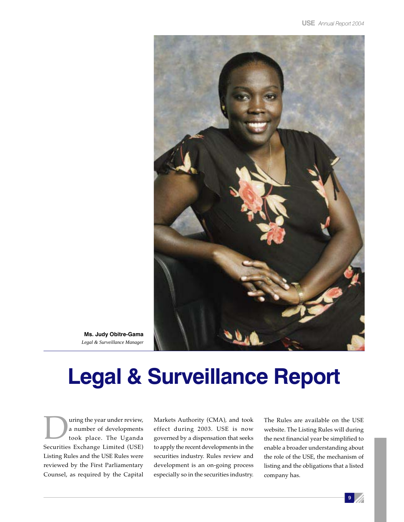

**Ms. Judy Obitre-Gama** *Legal & Surveillance Manager*

# **Legal & Surveillance Report**

uring the year under review, a number of developments took place. The Uganda Securities Exchange Limited (USE) Listing Rules and the USE Rules were reviewed by the First Parliamentary Counsel, as required by the Capital

Markets Authority (CMA), and took effect during 2003. USE is now governed by a dispensation that seeks to apply the recent developments in the securities industry. Rules review and development is an on-going process especially so in the securities industry.

The Rules are available on the USE website. The Listing Rules will during the next financial year be simplified to enable a broader understanding about the role of the USE, the mechanism of listing and the obligations that a listed company has.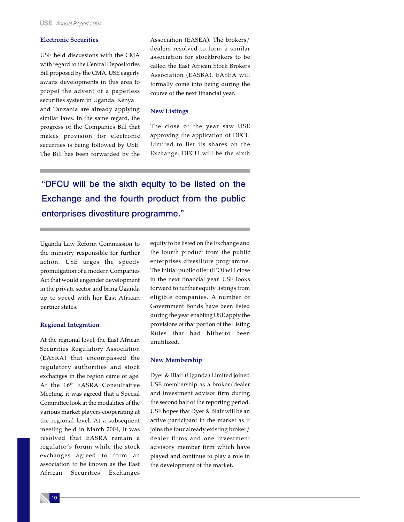### **Electronic Securities**

USE held discussions with the CMA with regard to the Central Depositories Bill proposed by the CMA. USE eagerly awaits developments in this area to propel the advent of a paperless securities system in Uganda. Kenya and Tanzania are already applying similar laws. In the same regard, the progress of the Companies Bill that makes provision for electronic securities is being followed by USE. The Bill has been forwarded by the Association (EASEA). The brokers/ dealers resolved to form a similar association for stockbrokers to be called the East African Stock Brokers Association (EASBA). EASEA will formally come into being during the course of the next financial year.

#### **New Listings**

The close of the year saw USE approving the application of DFCU Limited to list its shares on the Exchange. DFCU will be the sixth

"DFCU will be the sixth equity to be listed on the Exchange and the fourth product from the public enterprises divestiture programme."

Uganda Law Reform Commission to the ministry responsible for further action. USE urges the speedy promulgation of a modern Companies Act that would engender development in the private sector and bring Uganda up to speed with her East African partner states.

#### **Regional Integration**

At the regional level, the East African Securities Regulatory Association (EASRA) that encompassed the regulatory authorities and stock exchanges in the region came of age. At the 16<sup>th</sup> EASRA Consultative Meeting, it was agreed that a Special Committee look at the modalities of the various market players cooperating at the regional level. At a subsequent meeting held in March 2004, it was resolved that EASRA remain a regulator's forum while the stock exchanges agreed to form an association to be known as the East African Securities Exchanges

equity to be listed on the Exchange and the fourth product from the public enterprises divestiture programme. The initial public offer (IPO) will close in the next financial year. USE looks forward to further equity listings from eligible companies. A number of Government Bonds have been listed during the year enabling USE apply the provisions of that portion of the Listing Rules that had hitherto been unutilized.

#### **New Membership**

Dyer & Blair (Uganda) Limited joined USE membership as a broker/dealer and investment advisor firm during the second half of the reporting period. USE hopes that Dyer & Blair will be an active participant in the market as it joins the four already existing broker/ dealer firms and one investment advisory member firm which have played and continue to play a role in the development of the market.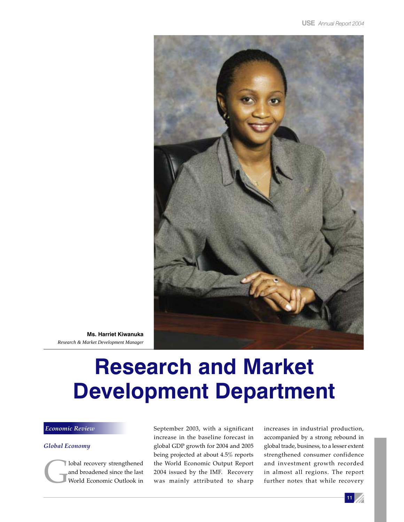

**Ms. Harriet Kiwanuka** *Research & Market Development Manager*

# **Research and Market Development Department**

### *Economic Review*

### *Global Economy*

lobal recovery strengthened and broadened since the last World Economic Outlook in September 2003, with a significant increase in the baseline forecast in global GDP growth for 2004 and 2005 being projected at about 4.5% reports the World Economic Output Report 2004 issued by the IMF. Recovery was mainly attributed to sharp increases in industrial production, accompanied by a strong rebound in global trade, business, to a lesser extent strengthened consumer confidence and investment growth recorded in almost all regions. The report further notes that while recovery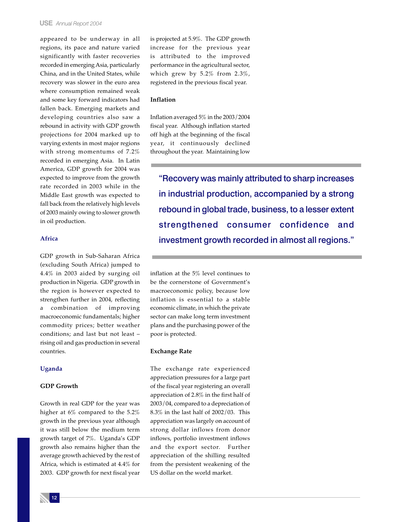appeared to be underway in all regions, its pace and nature varied significantly with faster recoveries recorded in emerging Asia, particularly China, and in the United States, while recovery was slower in the euro area where consumption remained weak and some key forward indicators had fallen back. Emerging markets and developing countries also saw a rebound in activity with GDP growth projections for 2004 marked up to varying extents in most major regions with strong momentums of 7.2% recorded in emerging Asia. In Latin America, GDP growth for 2004 was expected to improve from the growth rate recorded in 2003 while in the Middle East growth was expected to fall back from the relatively high levels of 2003 mainly owing to slower growth in oil production.

### **Africa**

GDP growth in Sub-Saharan Africa (excluding South Africa) jumped to 4.4% in 2003 aided by surging oil production in Nigeria. GDP growth in the region is however expected to strengthen further in 2004, reflecting a combination of improving macroeconomic fundamentals; higher commodity prices; better weather conditions; and last but not least – rising oil and gas production in several countries.

### **Uganda**

### **GDP Growth**

Growth in real GDP for the year was higher at 6% compared to the 5.2% growth in the previous year although it was still below the medium term growth target of 7%. Uganda's GDP growth also remains higher than the average growth achieved by the rest of Africa, which is estimated at 4.4% for 2003. GDP growth for next fiscal year is projected at 5.9%. The GDP growth increase for the previous year is attributed to the improved performance in the agricultural sector, which grew by 5.2% from 2.3%, registered in the previous fiscal year.

### **Inflation**

Inflation averaged 5% in the 2003/2004 fiscal year. Although inflation started off high at the beginning of the fiscal year, it continuously declined throughout the year. Maintaining low

"Recovery was mainly attributed to sharp increases in industrial production, accompanied by a strong rebound in global trade, business, to a lesser extent strengthened consumer confidence and investment growth recorded in almost all regions."

inflation at the 5% level continues to be the cornerstone of Government's macroeconomic policy, because low inflation is essential to a stable economic climate, in which the private sector can make long term investment plans and the purchasing power of the poor is protected.

#### **Exchange Rate**

The exchange rate experienced appreciation pressures for a large part of the fiscal year registering an overall appreciation of 2.8% in the first half of 2003/04, compared to a depreciation of 8.3% in the last half of 2002/03. This appreciation was largely on account of strong dollar inflows from donor inflows, portfolio investment inflows and the export sector. Further appreciation of the shilling resulted from the persistent weakening of the US dollar on the world market.

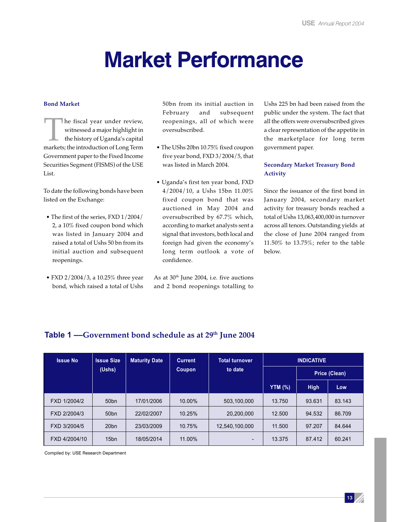# **Market Performance**

### **Bond Market**

The fiscal year under review,<br>witnessed a major highlight in<br>the history of Uganda's capital<br>markets; the introduction of Long Term witnessed a major highlight in the history of Uganda's capital Government paper to the Fixed Income Securities Segment (FISMS) of the USE List.

To date the following bonds have been listed on the Exchange:

- The first of the series, FXD 1/2004/ 2, a 10% fixed coupon bond which was listed in January 2004 and raised a total of Ushs 50 bn from its initial auction and subsequent reopenings.
- FXD 2/2004/3, a 10.25% three year bond, which raised a total of Ushs

50bn from its initial auction in February and subsequent reopenings, all of which were oversubscribed.

- The UShs 20bn 10.75% fixed coupon five year bond, FXD 3/2004/5, that was listed in March 2004.
- Uganda's first ten year bond, FXD 4/2004/10, a Ushs 15bn 11.00% fixed coupon bond that was auctioned in May 2004 and oversubscribed by 67.7% which, according to market analysts sent a signal that investors, both local and foreign had given the economy's long term outlook a vote of confidence.

As at  $30<sup>th</sup>$  June 2004, i.e. five auctions and 2 bond reopenings totalling to Ushs 225 bn had been raised from the public under the system. The fact that all the offers were oversubscribed gives a clear representation of the appetite in the marketplace for long term government paper.

### **Secondary Market Treasury Bond Activity**

Since the issuance of the first bond in January 2004, secondary market activity for treasury bonds reached a total of Ushs 13,063,400,000 in turnover across all tenors. Outstanding yields at the close of June 2004 ranged from 11.50% to 13.75%; refer to the table below.

| <b>Issue No</b> | <b>Issue Size</b> | <b>Maturity Date</b> | <b>Current</b> | <b>Total turnover</b> |                | <b>INDICATIVE</b> |        |  |
|-----------------|-------------------|----------------------|----------------|-----------------------|----------------|-------------------|--------|--|
|                 | (Ushs)            |                      | Coupon         | to date               | Price (Clean)  |                   |        |  |
|                 |                   |                      |                |                       | <b>YTM (%)</b> | <b>High</b>       | Low    |  |
| FXD 1/2004/2    | 50 <sub>bn</sub>  | 17/01/2006           | 10.00%         | 503.100.000           | 13.750         | 93.631            | 83.143 |  |
| FXD 2/2004/3    | 50 <sub>bn</sub>  | 22/02/2007           | 10.25%         | 20,200,000            | 12.500         | 94.532            | 86.709 |  |
| FXD 3/2004/5    | 20 <sub>bn</sub>  | 23/03/2009           | 10.75%         | 12,540,100,000        | 11.500         | 97.207            | 84.644 |  |
| FXD 4/2004/10   | 15 <sub>bn</sub>  | 18/05/2014           | 11.00%         | $\blacksquare$        | 13.375         | 87.412            | 60.241 |  |

### **Table 1 ––Government bond schedule as at 29th June 2004**

Compiled by: USE Research Department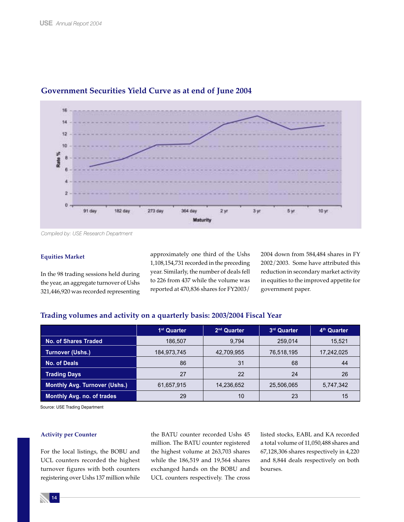

### **Government Securities Yield Curve as at end of June 2004**

*Compiled by: USE Research Department*

### **Equities Market**

In the 98 trading sessions held during the year, an aggregate turnover of Ushs 321,446,920 was recorded representing

approximately one third of the Ushs 1,108,154,731 recorded in the preceding year. Similarly, the number of deals fell to 226 from 437 while the volume was reported at 470,836 shares for FY2003/

2004 down from 584,484 shares in FY 2002/2003. Some have attributed this reduction in secondary market activity in equities to the improved appetite for government paper.

### **Trading volumes and activity on a quarterly basis: 2003/2004 Fiscal Year**

|                                      | 1 <sup>st</sup> Quarter | $2nd$ Quarter | 3rd Quarter | 4 <sup>th</sup> Quarter |
|--------------------------------------|-------------------------|---------------|-------------|-------------------------|
| <b>No. of Shares Traded</b>          | 186.507                 | 9.794         | 259,014     | 15,521                  |
| <b>Turnover (Ushs.)</b>              | 184,973,745             | 42,709,955    | 76,518,195  | 17,242,025              |
| No. of Deals                         | 86                      | 31            | 68          | 44                      |
| <b>Trading Days</b>                  | 27                      | 22            | 24          | 26                      |
| <b>Monthly Avg. Turnover (Ushs.)</b> | 61,657,915              | 14,236,652    | 25,506,065  | 5,747,342               |
| <b>Monthly Avg. no. of trades</b>    | 29                      | 10            | 23          | 15                      |

Source: USE Trading Department

### **Activity per Counter**

For the local listings, the BOBU and UCL counters recorded the highest turnover figures with both counters registering over Ushs 137 million while the BATU counter recorded Ushs 45 million. The BATU counter registered the highest volume at 263,703 shares while the 186,519 and 19,564 shares exchanged hands on the BOBU and UCL counters respectively. The cross

listed stocks, EABL and KA recorded a total volume of 11,050,488 shares and 67,128,306 shares respectively in 4,220 and 8,844 deals respectively on both bourses.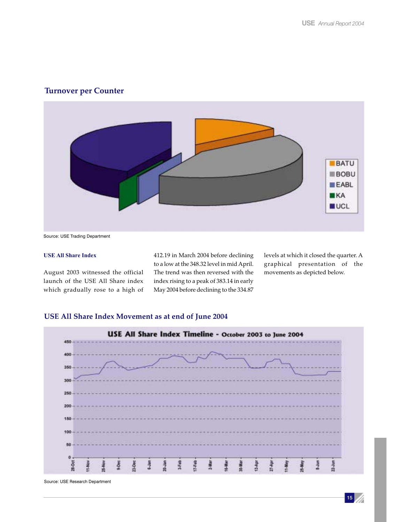### **Turnover per Counter**



Source: USE Trading Department

### **USE All Share Index**

August 2003 witnessed the official launch of the USE All Share index which gradually rose to a high of 412.19 in March 2004 before declining to a low at the 348.32 level in mid April. The trend was then reversed with the index rising to a peak of 383.14 in early May 2004 before declining to the 334.87

levels at which it closed the quarter. A graphical presentation of the movements as depicted below.

### **USE All Share Index Movement as at end of June 2004**



Source: USE Research Department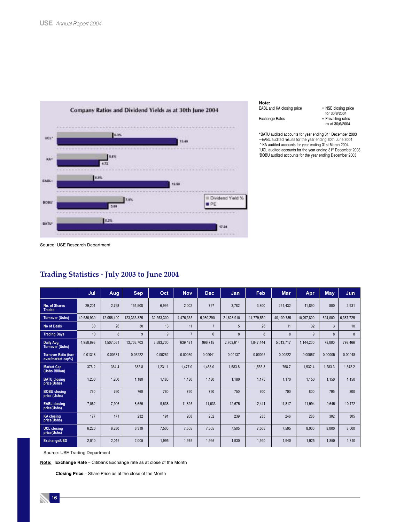

#### **Note:**

| nvuc. |                       |  |
|-------|-----------------------|--|
|       | EABL and KA closing p |  |
|       |                       |  |

 $price = NSE closing price$  for 30/6/2004 Exchange Rates = Prevailing rates as at 30/6/2004

\*BATU audited accounts for year ending 31st December 2003<br>~EABL audited results for the year ending 30th June 2004 ^KA audited accounts for year ending 31st March 2004 "UCL audited accounts for the year ending 31st December 2003 'BOBU audited accounts for the year ending December 2003

Source: USE Research Department

|                                                   | Jul        | <b>Aug</b> | Sep         | Oct        | <b>Nov</b>     | <b>Dec</b>     | Jan        | Feb        | <b>Mar</b> | Apr        | May     | Jun.      |
|---------------------------------------------------|------------|------------|-------------|------------|----------------|----------------|------------|------------|------------|------------|---------|-----------|
| No. of Shares<br><b>Traded</b>                    | 29,201     | 2,798      | 154,508     | 6,995      | 2,002          | 797            | 3,782      | 3,800      | 251,432    | 11,890     | 800     | 2,931     |
| <b>Turnover (Ushs)</b>                            | 49.586.930 | 12.056.490 | 123.333.325 | 32.253.300 | 4.476.365      | 5.980.290      | 21,628,910 | 14,779,550 | 40.109.735 | 10.297.800 | 624.000 | 6.387.725 |
| No of Deals                                       | 30         | 26         | 30          | 13         | 11             | $\overline{7}$ | 5          | 26         | 11         | 32         | 3       | 10        |
| <b>Trading Days</b>                               | 10         | 8          | 9           | 9          | $\overline{7}$ | $6\phantom{1}$ | 8          | 8          | 8          | 9          | 8       | 8         |
| Daily Avg.<br><b>Turnover (Ushs)</b>              | 4,958,693  | 1,507,061  | 13,703,703  | 3,583,700  | 639.481        | 996,715        | 2,703,614  | 1.847.444  | 5,013,717  | 1,144,200  | 78,000  | 798.466   |
| <b>Turnover Ratio (turn-</b><br>over/market cap%) | 0.01318    | 0.00331    | 0.03222     | 0.00262    | 0.00030        | 0.00041        | 0.00137    | 0.00095    | 0.00522    | 0.00067    | 0.00005 | 0.00048   |
| <b>Market Cap</b><br>(Ushs Billion)               | 376.2      | 364.4      | 382.8       | 1,231.1    | 1.477.0        | 1,453.0        | 1,583.8    | 1,555.3    | 768.7      | 1,532.4    | 1,283.3 | 1.342.2   |
| <b>BATU</b> closing<br>price(Ushs)                | 1,200      | 1,200      | 1,180       | 1,180      | 1,180          | 1,180          | 1,180      | 1,175      | 1,170      | 1,150      | 1,150   | 1,150     |
| <b>BOBU</b> closing<br>price (Ushs)               | 760        | 760        | 760         | 760        | 750            | 750            | 750        | 700        | 700        | 800        | 795     | 800       |
| <b>EABL</b> closing<br>price(Ushs)                | 7,062      | 7,906      | 8,659       | 9,638      | 11,825         | 11,633         | 12,675     | 12,441     | 11,817     | 11,994     | 9,645   | 10,172    |
| <b>KA</b> closing<br>price(Ushs)                  | 177        | 171        | 232         | 191        | 208            | 202            | 239        | 235        | 246        | 286        | 302     | 305       |
| <b>UCL closing</b><br>price(Ushs)                 | 6.220      | 6.280      | 6.310       | 7,500      | 7.505          | 7.505          | 7,505      | 7,505      | 7,505      | 8.000      | 8.000   | 8,000     |
| Exchange/USD                                      | 2,010      | 2,015      | 2,005       | 1,995      | 1,975          | 1,995          | 1,930      | 1,920      | 1,940      | 1,925      | 1,850   | 1,810     |

### **Trading Statistics - July 2003 to June 2004**

Source: USE Trading Department

**Note: Exchange Rate** – Citibank Exchange rate as at close of the Month

 **Closing Price** – Share Price as at the close of the Month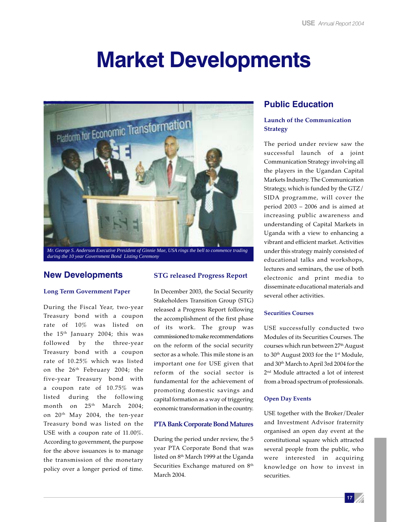# **Market Developments**



*Mr. George S. Anderson Executive President of Ginnie Mae, USA rings the bell to commence trading during the 10 year Government Bond Listing Ceremony*

### **New Developments**

### **Long Term Government Paper**

During the Fiscal Year, two-year Treasury bond with a coupon rate of 10% was listed on the 15<sup>th</sup> January 2004; this was followed by the three-year Treasury bond with a coupon rate of 10.25% which was listed on the 26<sup>th</sup> February 2004; the five-year Treasury bond with a coupon rate of 10.75% was listed during the following month on  $25<sup>th</sup>$  March 2004; on 20th May 2004, the ten-year Treasury bond was listed on the USE with a coupon rate of 11.00%. According to government, the purpose for the above issuances is to manage the transmission of the monetary policy over a longer period of time.

### **STG released Progress Report**

In December 2003, the Social Security Stakeholders Transition Group (STG) released a Progress Report following the accomplishment of the first phase of its work. The group was commissioned to make recommendations on the reform of the social security sector as a whole. This mile stone is an important one for USE given that reform of the social sector is fundamental for the achievement of promoting domestic savings and capital formation as a way of triggering economic transformation in the country.

### **PTA Bank Corporate Bond Matures**

During the period under review, the 5 year PTA Corporate Bond that was listed on 8<sup>th</sup> March 1999 at the Uganda Securities Exchange matured on  $8<sup>th</sup>$ March 2004.

### **Public Education**

### **Launch of the Communication Strategy**

The period under review saw the successful launch of a joint Communication Strategy involving all the players in the Ugandan Capital Markets Industry. The Communication Strategy, which is funded by the GTZ/ SIDA programme, will cover the period 2003 – 2006 and is aimed at increasing public awareness and understanding of Capital Markets in Uganda with a view to enhancing a vibrant and efficient market. Activities under this strategy mainly consisted of educational talks and workshops, lectures and seminars, the use of both electronic and print media to disseminate educational materials and several other activities.

### **Securities Courses**

USE successfully conducted two Modules of its Securities Courses. The courses which run between 27<sup>th</sup> August to 30<sup>th</sup> August 2003 for the 1<sup>st</sup> Module, and 30th March to April 3rd 2004 for the 2nd Module attracted a lot of interest from a broad spectrum of professionals.

### **Open Day Events**

USE together with the Broker/Dealer and Investment Advisor fraternity organised an open day event at the constitutional square which attracted several people from the public, who were interested in acquiring knowledge on how to invest in securities.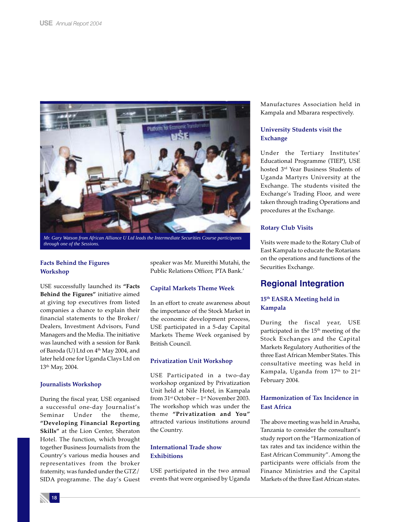

*Mr. Gary Watson from African Alliance U Ltd leads the Intermediate Securities Course participants through one of the Sessions.*

### **Facts Behind the Figures Workshop**

USE successfully launched its **"Facts Behind the Figures"** initiative aimed at giving top executives from listed companies a chance to explain their financial statements to the Broker/ Dealers, Investment Advisors, Fund Managers and the Media. The initiative was launched with a session for Bank of Baroda (U) Ltd on 4<sup>th</sup> May 2004, and later held one for Uganda Clays Ltd on 13th May, 2004.

### **Journalists Workshop**

During the fiscal year, USE organised a successful one-day Journalist's Seminar Under the theme, **"Developing Financial Reporting Skills"** at the Lion Center, Sheraton Hotel. The function, which brought together Business Journalists from the Country's various media houses and representatives from the broker fraternity, was funded under the GTZ/ SIDA programme. The day's Guest speaker was Mr. Mureithi Mutahi, the Public Relations Officer, PTA Bank.'

### **Capital Markets Theme Week**

In an effort to create awareness about the importance of the Stock Market in the economic development process, USE participated in a 5-day Capital Markets Theme Week organised by British Council.

### **Privatization Unit Workshop**

USE Participated in a two-day workshop organized by Privatization Unit held at Nile Hotel, in Kampala from 31st October – 1st November 2003. The workshop which was under the theme **"Privatization and You"** attracted various institutions around the Country.

### **International Trade show Exhibitions**

USE participated in the two annual events that were organised by Uganda

Manufactures Association held in Kampala and Mbarara respectively.

### **University Students visit the Exchange**

Under the Tertiary Institutes' Educational Programme (TIEP), USE hosted 3rd Year Business Students of Uganda Martyrs University at the Exchange. The students visited the Exchange's Trading Floor, and were taken through trading Operations and procedures at the Exchange.

### **Rotary Club Visits**

Visits were made to the Rotary Club of East Kampala to educate the Rotarians on the operations and functions of the Securities Exchange.

### **Regional Integration**

### **15th EASRA Meeting held in Kampala**

During the fiscal year, USE participated in the 15<sup>th</sup> meeting of the Stock Exchanges and the Capital Markets Regulatory Authorities of the three East African Member States. This consultative meeting was held in Kampala, Uganda from 17<sup>th</sup> to 21<sup>st</sup> February 2004.

### **Harmonization of Tax Incidence in East Africa**

The above meeting was held in Arusha, Tanzania to consider the consultant's study report on the "Harmonization of tax rates and tax incidence within the East African Community". Among the participants were officials from the Finance Ministries and the Capital Markets of the three East African states.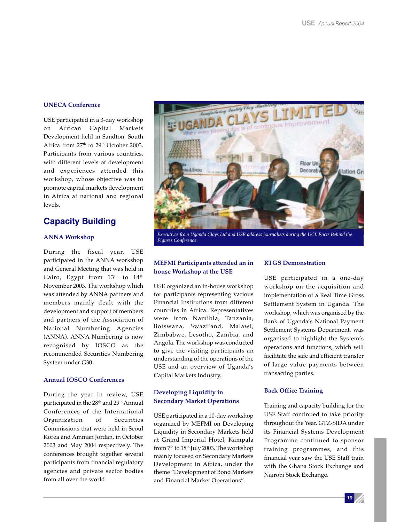### **UNECA Conference**

USE participated in a 3-day workshop on African Capital Markets Development held in Sandton, South Africa from 27<sup>th</sup> to 29<sup>th</sup> October 2003. Participants from various countries, with different levels of development and experiences attended this workshop, whose objective was to promote capital markets development in Africa at national and regional levels.

### **Capacity Building**

### **ANNA Workshop**

During the fiscal year, USE participated in the ANNA workshop and General Meeting that was held in Cairo, Egypt from  $13<sup>th</sup>$  to  $14<sup>th</sup>$ November 2003. The workshop which was attended by ANNA partners and members mainly dealt with the development and support of members and partners of the Association of National Numbering Agencies (ANNA). ANNA Numbering is now recognised by IOSCO as the recommended Securities Numbering System under G30.

#### **Annual IOSCO Conferences**

During the year in review, USE participated in the 28<sup>th</sup> and 29<sup>th</sup> Annual Conferences of the International Organization of Securities Commissions that were held in Seoul Korea and Amman Jordan, in October 2003 and May 2004 respectively. The conferences brought together several participants from financial regulatory agencies and private sector bodies from all over the world.



*Executives from Uganda Clays Ltd and USE address journalists during the UCL Facts Behind the Figures Conference.*

### **MEFMI Participants attended an in house Workshop at the USE**

USE organized an in-house workshop for participants representing various Financial Institutions from different countries in Africa. Representatives were from Namibia, Tanzania, Botswana, Swaziland, Malawi, Zimbabwe, Lesotho, Zambia, and Angola. The workshop was conducted to give the visiting participants an understanding of the operations of the USE and an overview of Uganda's Capital Markets Industry.

### **Developing Liquidity in Secondary Market Operations**

USE participated in a 10-day workshop organized by MEFMI on Developing Liquidity in Secondary Markets held at Grand Imperial Hotel, Kampala from  $7<sup>th</sup>$  to  $18<sup>th</sup>$  July 2003. The workshop mainly focused on Secondary Markets Development in Africa, under the theme "Development of Bond Markets and Financial Market Operations".

### **RTGS Demonstration**

USE participated in a one-day workshop on the acquisition and implementation of a Real Time Gross Settlement System in Uganda. The workshop, which was organised by the Bank of Uganda's National Payment Settlement Systems Department, was organised to highlight the System's operations and functions, which will facilitate the safe and efficient transfer of large value payments between transacting parties.

#### **Back Office Training**

Training and capacity building for the USE Staff continued to take priority throughout the Year. GTZ-SIDA under its Financial Systems Development Programme continued to sponsor training programmes, and this financial year saw the USE Staff train with the Ghana Stock Exchange and Nairobi Stock Exchange.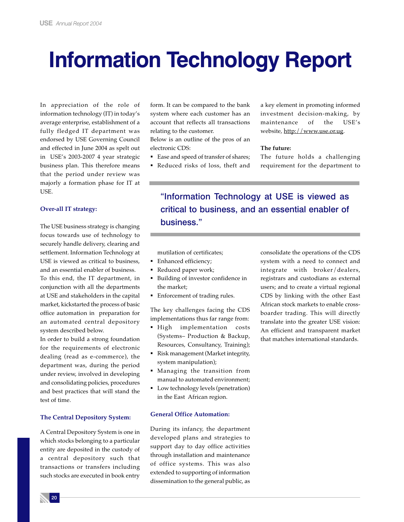# **Information Technology Report**

In appreciation of the role of information technology (IT) in today's average enterprise, establishment of a fully fledged IT department was endorsed by USE Governing Council and effected in June 2004 as spelt out in USE's 2003-2007 4 year strategic business plan. This therefore means that the period under review was majorly a formation phase for IT at USE.

### **Over-all IT strategy:**

The USE business strategy is changing focus towards use of technology to securely handle delivery, clearing and settlement. Information Technology at USE is viewed as critical to business, and an essential enabler of business. To this end, the IT department, in conjunction with all the departments at USE and stakeholders in the capital market, kickstarted the process of basic office automation in preparation for an automated central depository system described below.

In order to build a strong foundation for the requirements of electronic dealing (read as e-commerce), the department was, during the period under review, involved in developing and consolidating policies, procedures and best practices that will stand the test of time.

### **The Central Depository System:**

A Central Depository System is one in which stocks belonging to a particular entity are deposited in the custody of a central depository such that transactions or transfers including such stocks are executed in book entry

form. It can be compared to the bank system where each customer has an account that reflects all transactions relating to the customer.

Below is an outline of the pros of an electronic CDS:

Ease and speed of transfer of shares; Reduced risks of loss, theft and

a key element in promoting informed investment decision-making, by maintenance of the USE's website, http://www.use.or.ug.

#### **The future:**

The future holds a challenging requirement for the department to

"Information Technology at USE is viewed as critical to business, and an essential enabler of business."

mutilation of certificates;

- **Enhanced efficiency;**
- Reduced paper work;
- Building of investor confidence in the market;
- **Enforcement of trading rules.**

The key challenges facing the CDS implementations thus far range from:

- **High** implementation costs (Systems– Production & Backup, Resources, Consultancy, Training);
- Risk management (Market integrity, system manipulation);
- Managing the transition from manual to automated environment;
- **Low technology levels (penetration)** in the East African region.

### **General Office Automation:**

During its infancy, the department developed plans and strategies to support day to day office activities through installation and maintenance of office systems. This was also extended to supporting of information dissemination to the general public, as

consolidate the operations of the CDS system with a need to connect and integrate with broker/dealers, registrars and custodians as external users; and to create a virtual regional CDS by linking with the other East African stock markets to enable crossboarder trading. This will directly translate into the greater USE vision: An efficient and transparent market that matches international standards.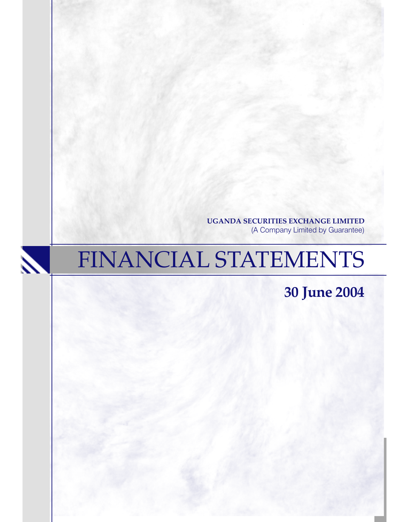**UGANDA SECURITIES EXCHANGE LIMITED** (A Company Limited by Guarantee)

# FINANCIAL STATEMENTS

 $\boldsymbol{\lambda}$ 

**30 June 2004**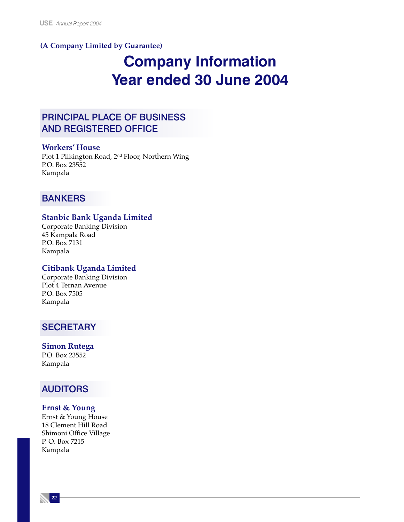### **(A Company Limited by Guarantee)**

# **Company Information Year ended 30 June 2004**

# PRINCIPAL PLACE OF BUSINESS AND REGISTERED OFFICE

### **Workers' House**

Plot 1 Pilkington Road, 2nd Floor, Northern Wing P.O. Box 23552 Kampala

## **BANKERS**

### **Stanbic Bank Uganda Limited**

Corporate Banking Division 45 Kampala Road P.O. Box 7131 Kampala

### **Citibank Uganda Limited**

Corporate Banking Division Plot 4 Ternan Avenue P.O. Box 7505 Kampala

### **SECRETARY**

**Simon Rutega** P.O. Box 23552 Kampala

### AUDITORS

### **Ernst & Young**

Ernst & Young House 18 Clement Hill Road Shimoni Office Village P. O. Box 7215 Kampala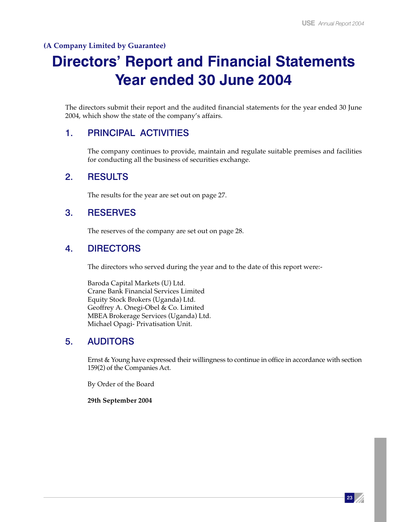### **(A Company Limited by Guarantee)**

# **Directors' Report and Financial Statements Year ended 30 June 2004**

The directors submit their report and the audited financial statements for the year ended 30 June 2004, which show the state of the company's affairs.

## 1. PRINCIPAL ACTIVITIES

The company continues to provide, maintain and regulate suitable premises and facilities for conducting all the business of securities exchange.

## 2. RESULTS

The results for the year are set out on page 27.

### 3. RESERVES

The reserves of the company are set out on page 28.

## 4. DIRECTORS

The directors who served during the year and to the date of this report were:-

Baroda Capital Markets (U) Ltd. Crane Bank Financial Services Limited Equity Stock Brokers (Uganda) Ltd. Geoffrey A. Onegi-Obel & Co. Limited MBEA Brokerage Services (Uganda) Ltd. Michael Opagi- Privatisation Unit.

## 5. AUDITORS

Ernst & Young have expressed their willingness to continue in office in accordance with section 159(2) of the Companies Act.

By Order of the Board

**29th September 2004**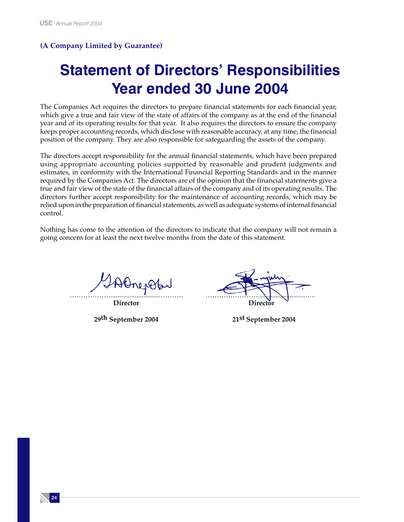### **(A Company Limited by Guarantee)**

# **Statement of Directors' Responsibilities Year ended 30 June 2004**

The Companies Act requires the directors to prepare financial statements for each financial year, which give a true and fair view of the state of affairs of the company as at the end of the financial year and of its operating results for that year. It also requires the directors to ensure the company keeps proper accounting records, which disclose with reasonable accuracy, at any time, the financial position of the company. They are also responsible for safeguarding the assets of the company.

The directors accept responsibility for the annual financial statements, which have been prepared using appropriate accounting policies supported by reasonable and prudent judgments and estimates, in conformity with the International Financial Reporting Standards and in the manner required by the Companies Act. The directors are of the opinion that the financial statements give a true and fair view of the state of the financial affairs of the company and of its operating results. The directors further accept responsibility for the maintenance of accounting records, which may be relied upon in the preparation of financial statements, as well as adequate systems of internal financial control.

Nothing has come to the attention of the directors to indicate that the company will not remain a going concern for at least the next twelve months from the date of this statement.

Alnepop

……………….............................………. ……………………..........................….. **Director Director**

**29th September 2004 21st September 2004**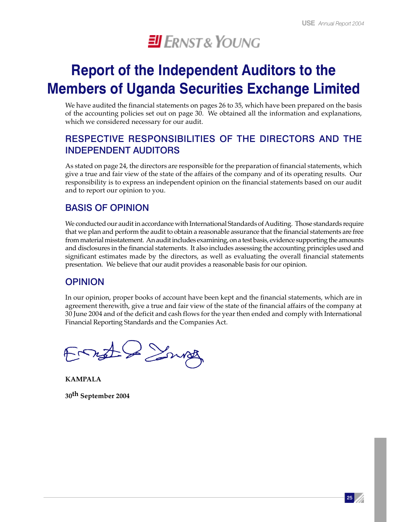

# **Report of the Independent Auditors to the Members of Uganda Securities Exchange Limited**

We have audited the financial statements on pages 26 to 35, which have been prepared on the basis of the accounting policies set out on page 30. We obtained all the information and explanations, which we considered necessary for our audit.

# RESPECTIVE RESPONSIBILITIES OF THE DIRECTORS AND THE INDEPENDENT AUDITORS

As stated on page 24, the directors are responsible for the preparation of financial statements, which give a true and fair view of the state of the affairs of the company and of its operating results. Our responsibility is to express an independent opinion on the financial statements based on our audit and to report our opinion to you.

# BASIS OF OPINION

We conducted our audit in accordance with International Standards of Auditing. Those standards require that we plan and perform the audit to obtain a reasonable assurance that the financial statements are free from material misstatement. An audit includes examining, on a test basis, evidence supporting the amounts and disclosures in the financial statements. It also includes assessing the accounting principles used and significant estimates made by the directors, as well as evaluating the overall financial statements presentation. We believe that our audit provides a reasonable basis for our opinion.

## OPINION

In our opinion, proper books of account have been kept and the financial statements, which are in agreement therewith, give a true and fair view of the state of the financial affairs of the company at 30 June 2004 and of the deficit and cash flows for the year then ended and comply with International Financial Reporting Standards and the Companies Act.

Ernste Smith

**KAMPALA 30th September 2004**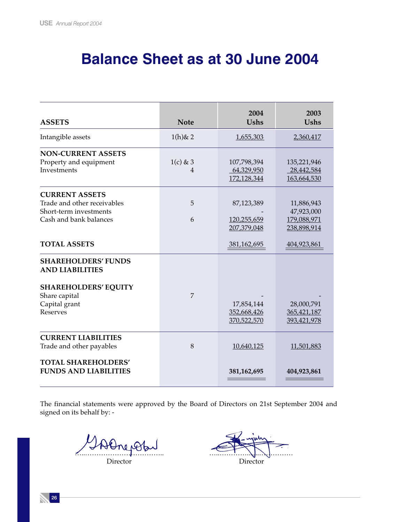# **Balance Sheet as at 30 June 2004**

| <b>ASSETS</b>                                                                                                                            | <b>Note</b>     | 2004<br><b>Ushs</b>                      | 2003<br><b>Ushs</b>                                    |
|------------------------------------------------------------------------------------------------------------------------------------------|-----------------|------------------------------------------|--------------------------------------------------------|
| Intangible assets                                                                                                                        | $1(h)$ & 2      | 1,655,303                                | 2,360,417                                              |
| <b>NON-CURRENT ASSETS</b><br>Property and equipment<br>Investments                                                                       | $1(c)$ & 3<br>4 | 107,798,394<br>64,329,950<br>172,128,344 | 135,221,946<br>28,442,584<br>163,664,530               |
| <b>CURRENT ASSETS</b><br>Trade and other receivables<br>Short-term investments<br>Cash and bank balances                                 | 5<br>6          | 87,123,389<br>120,255,659<br>207,379,048 | 11,886,943<br>47,923,000<br>179,088,971<br>238,898,914 |
| <b>TOTAL ASSETS</b>                                                                                                                      |                 | 381,162,695                              | 404,923,861                                            |
| <b>SHAREHOLDERS' FUNDS</b><br><b>AND LIABILITIES</b><br><b>SHAREHOLDERS' EQUITY</b><br>Share capital<br>Capital grant<br><b>Reserves</b> | 7               | 17,854,144<br>352,668,426<br>370,522,570 | 28,000,791<br>365,421,187<br>393,421,978               |
| <b>CURRENT LIABILITIES</b><br>Trade and other payables<br><b>TOTAL SHAREHOLDERS'</b>                                                     | 8               | 10,640,125                               | 11,501,883                                             |
| <b>FUNDS AND LIABILITIES</b>                                                                                                             |                 | 381,162,695                              | 404,923,861                                            |

The financial statements were approved by the Board of Directors on 21st September 2004 and signed on its behalf by: -

 $\mu_{\Theta}$ 

Director Director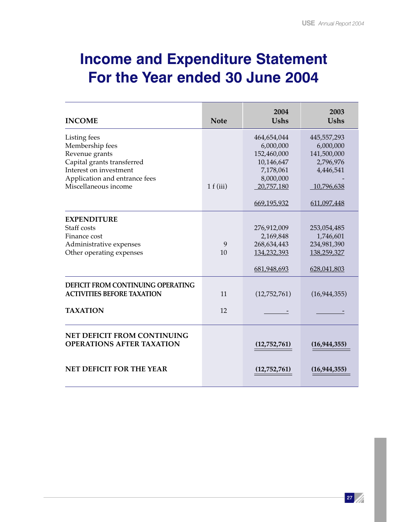# **Income and Expenditure Statement For the Year ended 30 June 2004**

| <b>INCOME</b>                                                                                                                                                      | <b>Note</b> | 2004<br><b>Ushs</b>                                                                                          | 2003<br><b>Ushs</b>                                                                            |
|--------------------------------------------------------------------------------------------------------------------------------------------------------------------|-------------|--------------------------------------------------------------------------------------------------------------|------------------------------------------------------------------------------------------------|
| Listing fees<br>Membership fees<br>Revenue grants<br>Capital grants transferred<br>Interest on investment<br>Application and entrance fees<br>Miscellaneous income | 1 f(iii)    | 464,654,044<br>6,000,000<br>152,460,000<br>10,146,647<br>7,178,061<br>8,000,000<br>20,757,180<br>669,195,932 | 445,557,293<br>6,000,000<br>141,500,000<br>2,796,976<br>4,446,541<br>10,796,638<br>611,097,448 |
| <b>EXPENDITURE</b><br>Staff costs<br>Finance cost<br>Administrative expenses<br>Other operating expenses                                                           | 9<br>10     | 276,912,009<br>2,169,848<br>268,634,443<br>134,232,393<br>681,948,693                                        | 253,054,485<br>1,746,601<br>234,981,390<br>138,259,327<br>628,041,803                          |
| <b>DEFICIT FROM CONTINUING OPERATING</b><br><b>ACTIVITIES BEFORE TAXATION</b>                                                                                      | 11          | (12,752,761)                                                                                                 | (16, 944, 355)                                                                                 |
| <b>TAXATION</b>                                                                                                                                                    | 12          |                                                                                                              |                                                                                                |
| <b>NET DEFICIT FROM CONTINUING</b><br><b>OPERATIONS AFTER TAXATION</b>                                                                                             |             | (12,752,761)                                                                                                 | (16, 944, 355)                                                                                 |
| <b>NET DEFICIT FOR THE YEAR</b>                                                                                                                                    |             | (12,752,761)                                                                                                 | (16, 944, 355)                                                                                 |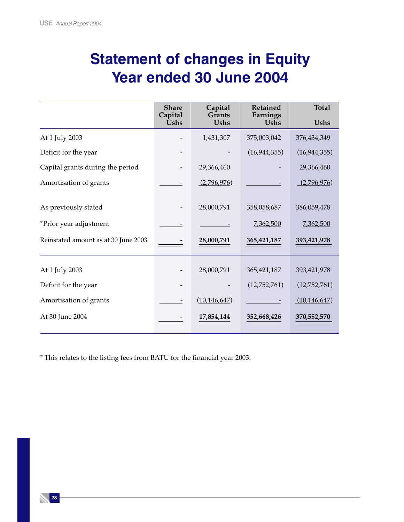# **Statement of changes in Equity Year ended 30 June 2004**

|                                      | <b>Share</b><br>Capital | Capital<br><b>Grants</b> | Retained<br>Earnings | <b>Total</b>   |
|--------------------------------------|-------------------------|--------------------------|----------------------|----------------|
|                                      | <b>Ushs</b>             | <b>Ushs</b>              | <b>Ushs</b>          | <b>Ushs</b>    |
| At 1 July 2003                       |                         | 1,431,307                | 375,003,042          | 376,434,349    |
| Deficit for the year                 |                         |                          | (16, 944, 355)       | (16, 944, 355) |
| Capital grants during the period     |                         | 29,366,460               |                      | 29,366,460     |
| Amortisation of grants               |                         | (2,796,976)              |                      | (2,796,976)    |
| As previously stated                 |                         | 28,000,791               | 358,058,687          | 386,059,478    |
| *Prior year adjustment               |                         |                          | 7,362,500            | 7,362,500      |
| Reinstated amount as at 30 June 2003 |                         | 28,000,791               | 365,421,187          | 393,421,978    |
|                                      |                         |                          |                      |                |
| At 1 July 2003                       |                         | 28,000,791               | 365,421,187          | 393,421,978    |
| Deficit for the year                 |                         |                          | (12,752,761)         | (12,752,761)   |
| Amortisation of grants               |                         | (10, 146, 647)           |                      | (10, 146, 647) |
| At 30 June 2004                      |                         | 17,854,144               | 352,668,426          | 370,552,570    |

\* This relates to the listing fees from BATU for the financial year 2003.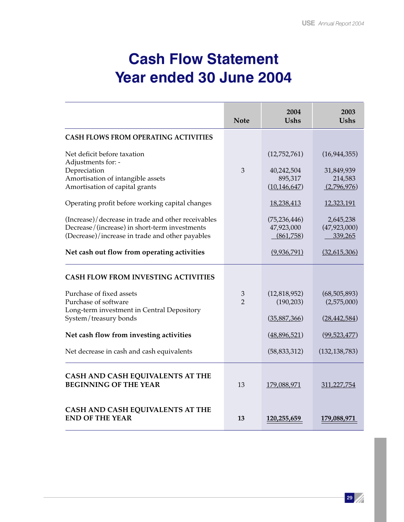# **Cash Flow Statement Year ended 30 June 2004**

|                                                                                                                                                        | <b>Note</b>        | 2004<br><b>Ushs</b>                       | 2003<br><b>Ushs</b>                     |
|--------------------------------------------------------------------------------------------------------------------------------------------------------|--------------------|-------------------------------------------|-----------------------------------------|
| <b>CASH FLOWS FROM OPERATING ACTIVITIES</b>                                                                                                            |                    |                                           |                                         |
| Net deficit before taxation<br>Adjustments for: -<br>Depreciation<br>Amortisation of intangible assets                                                 | 3                  | (12,752,761)<br>40,242,504<br>895,317     | (16, 944, 355)<br>31,849,939<br>214,583 |
| Amortisation of capital grants                                                                                                                         |                    | (10, 146, 647)                            | (2,796,976)                             |
| Operating profit before working capital changes                                                                                                        |                    | 18,238,413                                | 12,323,191                              |
| (Increase)/decrease in trade and other receivables<br>Decrease/(increase) in short-term investments<br>(Decrease)/increase in trade and other payables |                    | (75, 236, 446)<br>47,923,000<br>(861,758) | 2,645,238<br>(47, 923, 000)<br>339,265  |
| Net cash out flow from operating activities                                                                                                            |                    | (9,936,791)                               | (32,615,306)                            |
| <b>CASH FLOW FROM INVESTING ACTIVITIES</b>                                                                                                             |                    |                                           |                                         |
| Purchase of fixed assets<br>Purchase of software<br>Long-term investment in Central Depository                                                         | 3<br>$\mathcal{P}$ | (12,818,952)<br>(190, 203)                | (68, 505, 893)<br>(2,575,000)           |
| System/treasury bonds                                                                                                                                  |                    | (35,887,366)                              | (28, 442, 584)                          |
| Net cash flow from investing activities                                                                                                                |                    | (48,896,521)                              | (99, 523, 477)                          |
| Net decrease in cash and cash equivalents                                                                                                              |                    | (58, 833, 312)                            | (132, 138, 783)                         |
| CASH AND CASH EQUIVALENTS AT THE<br><b>BEGINNING OF THE YEAR</b>                                                                                       | 13                 | 179,088,971                               | 311,227,754                             |
| CASH AND CASH EQUIVALENTS AT THE<br><b>END OF THE YEAR</b>                                                                                             | 13                 | 120,255,659                               | 179,088,971                             |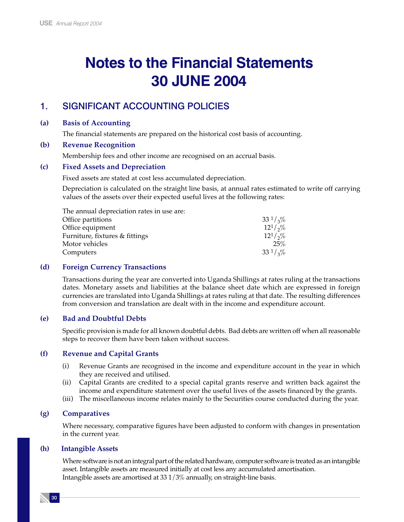# **Notes to the Financial Statements 30 JUNE 2004**

# 1. SIGNIFICANT ACCOUNTING POLICIES

### **(a) Basis of Accounting**

The financial statements are prepared on the historical cost basis of accounting.

### **(b) Revenue Recognition**

Membership fees and other income are recognised on an accrual basis.

### **(c) Fixed Assets and Depreciation**

Fixed assets are stated at cost less accumulated depreciation.

Depreciation is calculated on the straight line basis, at annual rates estimated to write off carrying values of the assets over their expected useful lives at the following rates:

| $33^{1}/\sqrt{20}$ |
|--------------------|
| $12^{1}/\sqrt{2}$  |
| $12^{1}/\sqrt{2}$  |
| 25%                |
| $33^{1}/\sqrt{20}$ |
|                    |

### **(d) Foreign Currency Transactions**

Transactions during the year are converted into Uganda Shillings at rates ruling at the transactions dates. Monetary assets and liabilities at the balance sheet date which are expressed in foreign currencies are translated into Uganda Shillings at rates ruling at that date. The resulting differences from conversion and translation are dealt with in the income and expenditure account.

### **(e) Bad and Doubtful Debts**

Specific provision is made for all known doubtful debts. Bad debts are written off when all reasonable steps to recover them have been taken without success.

### **(f) Revenue and Capital Grants**

- (i) Revenue Grants are recognised in the income and expenditure account in the year in which they are received and utilised.
- (ii) Capital Grants are credited to a special capital grants reserve and written back against the income and expenditure statement over the useful lives of the assets financed by the grants.
- (iii) The miscellaneous income relates mainly to the Securities course conducted during the year.

### **(g) Comparatives**

Where necessary, comparative figures have been adjusted to conform with changes in presentation in the current year.

### **(h) Intangible Assets**

Where software is not an integral part of the related hardware, computer software is treated as an intangible asset. Intangible assets are measured initially at cost less any accumulated amortisation. Intangible assets are amortised at 33 1/3% annually, on straight-line basis.

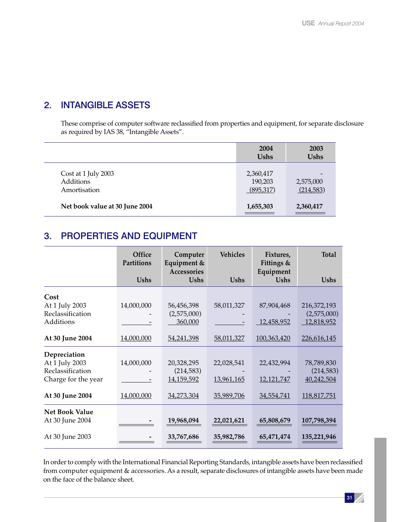# 2. INTANGIBLE ASSETS

These comprise of computer software reclassified from properties and equipment, for separate disclosure as required by IAS 38, "Intangible Assets".

|                                                  | 2004<br><b>Ushs</b>               | 2003<br><b>Ushs</b>    |
|--------------------------------------------------|-----------------------------------|------------------------|
| Cost at 1 July 2003<br>Additions<br>Amortisation | 2,360,417<br>190,203<br>(895,317) | 2,575,000<br>(214,583) |
| Net book value at 30 June 2004                   | 1,655,303                         | 2,360,417              |

# 3. PROPERTIES AND EQUIPMENT

|                       | Office<br>Partitions | Computer<br>Equipment &<br>Accessories | <b>Vehicles</b> | Fixtures,<br>Fittings &<br>Equipment | <b>Total</b> |
|-----------------------|----------------------|----------------------------------------|-----------------|--------------------------------------|--------------|
|                       | <b>Ushs</b>          | <b>Ushs</b>                            | <b>Ushs</b>     | <b>Ushs</b>                          | <b>Ushs</b>  |
| Cost                  |                      |                                        |                 |                                      |              |
| At 1 July 2003        | 14,000,000           | 56,456,398                             | 58,011,327      | 87,904,468                           | 216,372,193  |
| Reclassification      |                      | (2,575,000)                            |                 |                                      | (2,575,000)  |
| Additions             |                      | 360,000                                |                 | 12,458,952                           | 12,818,952   |
| At 30 June 2004       | 14,000,000           | 54,241,398                             | 58,011,327      | 100,363,420                          | 226,616,145  |
| Depreciation          |                      |                                        |                 |                                      |              |
| At 1 July 2003        | 14,000,000           | 20,328,295                             | 22,028,541      | 22,432,994                           | 78,789,830   |
| Reclassification      |                      | (214, 583)                             |                 |                                      | (214,583)    |
| Charge for the year   |                      | 14,159,592                             | 13,961,165      | 12,121,747                           | 40,242,504   |
| At 30 June 2004       | 14,000,000           | 34,273,304                             | 35,989,706      | 34,554,741                           | 118,817,751  |
| <b>Net Book Value</b> |                      |                                        |                 |                                      |              |
| At 30 June 2004       |                      | 19,968,094                             | 22,021,621      | 65,808,679                           | 107,798,394  |
| At 30 June 2003       |                      | 33,767,686                             | 35,982,786      | 65,471,474                           | 135,221,946  |

In order to comply with the International Financial Reporting Standards, intangible assets have been reclassified from computer equipment & accessories. As a result, separate disclosures of intangible assets have been made on the face of the balance sheet.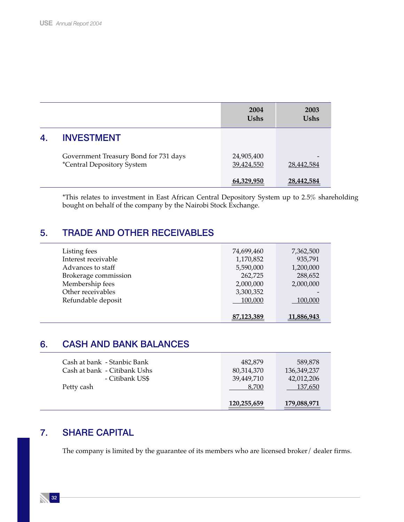|    |                                                                     | 2004<br><b>Ushs</b>      | 2003<br><b>Ushs</b> |
|----|---------------------------------------------------------------------|--------------------------|---------------------|
| 4. | <b>INVESTMENT</b>                                                   |                          |                     |
|    | Government Treasury Bond for 731 days<br>*Central Depository System | 24,905,400<br>39,424,550 | 28,442,584          |
|    |                                                                     | 64,329,950               | 28,442,584          |

\*This relates to investment in East African Central Depository System up to 2.5% shareholding bought on behalf of the company by the Nairobi Stock Exchange.

# 5. TRADE AND OTHER RECEIVABLES

| Listing fees         | 74,699,460 | 7,362,500  |
|----------------------|------------|------------|
| Interest receivable  | 1,170,852  | 935,791    |
| Advances to staff    | 5,590,000  | 1,200,000  |
| Brokerage commission | 262,725    | 288,652    |
| Membership fees      | 2,000,000  | 2,000,000  |
| Other receivables    | 3,300,352  |            |
| Refundable deposit   | 100,000    | 100.000    |
|                      |            |            |
|                      | 87,123,389 | 11,886,943 |

# 6. CASH AND BANK BALANCES

|                              | 120,255,659 | 179,088,971 |
|------------------------------|-------------|-------------|
| Petty cash                   | 8.700       | 137,650     |
| - Citibank US\$              | 39.449.710  | 42,012,206  |
| Cash at bank - Citibank Ushs | 80,314,370  | 136,349,237 |
| Cash at bank - Stanbic Bank  | 482.879     | 589.878     |
|                              |             |             |

# 7. SHARE CAPITAL

The company is limited by the guarantee of its members who are licensed broker/ dealer firms.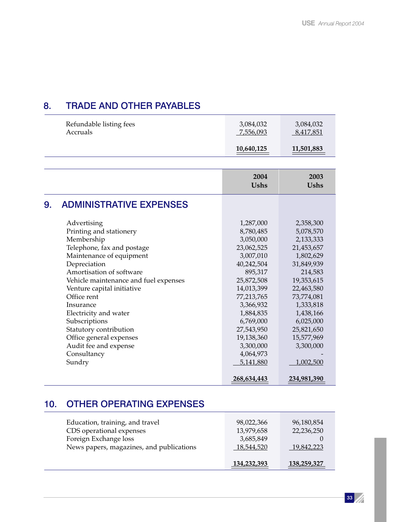# 8. TRADE AND OTHER PAYABLES

| Refundable listing fees | 3,084,032  | 3,084,032  |
|-------------------------|------------|------------|
| Accruals                | 7,556,093  | 8,417,851  |
|                         | 10,640,125 | 11,501,883 |

|    |                                                                                                                                                                                                                                                                                                                                                                                                                | 2004<br><b>Ushs</b>                                                                                                                                                                                                                         | 2003<br><b>Ushs</b>                                                                                                                                                                                                            |
|----|----------------------------------------------------------------------------------------------------------------------------------------------------------------------------------------------------------------------------------------------------------------------------------------------------------------------------------------------------------------------------------------------------------------|---------------------------------------------------------------------------------------------------------------------------------------------------------------------------------------------------------------------------------------------|--------------------------------------------------------------------------------------------------------------------------------------------------------------------------------------------------------------------------------|
| 9. | <b>ADMINISTRATIVE EXPENSES</b>                                                                                                                                                                                                                                                                                                                                                                                 |                                                                                                                                                                                                                                             |                                                                                                                                                                                                                                |
|    | Advertising<br>Printing and stationery<br>Membership<br>Telephone, fax and postage<br>Maintenance of equipment<br>Depreciation<br>Amortisation of software<br>Vehicle maintenance and fuel expenses<br>Venture capital initiative<br>Office rent<br>Insurance<br>Electricity and water<br>Subscriptions<br>Statutory contribution<br>Office general expenses<br>Audit fee and expense<br>Consultancy<br>Sundry | 1,287,000<br>8,780,485<br>3,050,000<br>23,062,525<br>3,007,010<br>40,242,504<br>895,317<br>25,872,508<br>14,013,399<br>77,213,765<br>3,366,932<br>1,884,835<br>6,769,000<br>27,543,950<br>19,138,360<br>3,300,000<br>4,064,973<br>5,141,880 | 2,358,300<br>5,078,570<br>2,133,333<br>21,453,657<br>1,802,629<br>31,849,939<br>214,583<br>19,353,615<br>22,463,580<br>73,774,081<br>1,333,818<br>1,438,166<br>6,025,000<br>25,821,650<br>15,577,969<br>3,300,000<br>1,002,500 |
|    |                                                                                                                                                                                                                                                                                                                                                                                                                | 268,634,443                                                                                                                                                                                                                                 | 234,981,390                                                                                                                                                                                                                    |

# 10. OTHER OPERATING EXPENSES

|                                                                   | 134,232,393              | 138,259,327              |
|-------------------------------------------------------------------|--------------------------|--------------------------|
| Foreign Exchange loss<br>News papers, magazines, and publications | 3,685,849<br>18.544.520  | 19.842.223               |
| Education, training, and travel<br>CDS operational expenses       | 98,022,366<br>13,979,658 | 96,180,854<br>22,236,250 |
|                                                                   |                          |                          |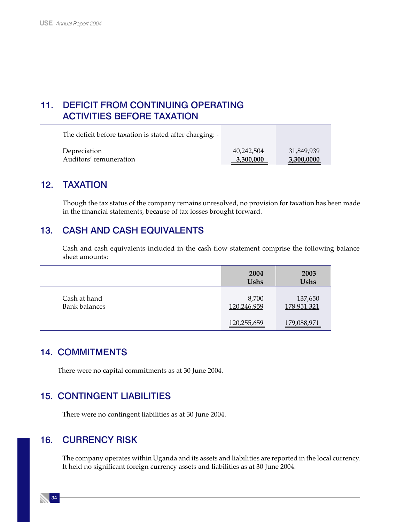# 11. DEFICIT FROM CONTINUING OPERATING ACTIVITIES BEFORE TAXATION

The deficit before taxation is stated after charging: - Depreciation 40,242,504 31,849,939 Auditors' remuneration **3,300,000** 3,300,000

# 12. TAXATION

Though the tax status of the company remains unresolved, no provision for taxation has been made in the financial statements, because of tax losses brought forward.

# 13. CASH AND CASH EQUIVALENTS

Cash and cash equivalents included in the cash flow statement comprise the following balance sheet amounts:

|                                      | 2004<br><b>Ushs</b>  | 2003<br><b>Ushs</b>    |
|--------------------------------------|----------------------|------------------------|
| Cash at hand<br><b>Bank balances</b> | 8,700<br>120,246,959 | 137,650<br>178,951,321 |
|                                      | 120,255,659          | 179,088,971            |

## 14. COMMITMENTS

There were no capital commitments as at 30 June 2004.

# 15. CONTINGENT LIABILITIES

There were no contingent liabilities as at 30 June 2004.

## 16. CURRENCY RISK

The company operates within Uganda and its assets and liabilities are reported in the local currency. It held no significant foreign currency assets and liabilities as at 30 June 2004.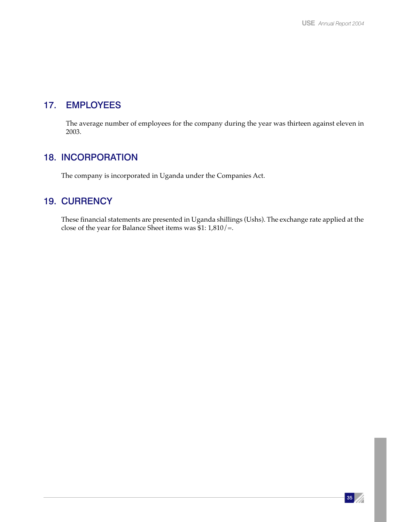# 17. EMPLOYEES

The average number of employees for the company during the year was thirteen against eleven in 2003.

# 18. INCORPORATION

The company is incorporated in Uganda under the Companies Act.

## 19. CURRENCY

These financial statements are presented in Uganda shillings (Ushs). The exchange rate applied at the close of the year for Balance Sheet items was \$1: 1,810/=.